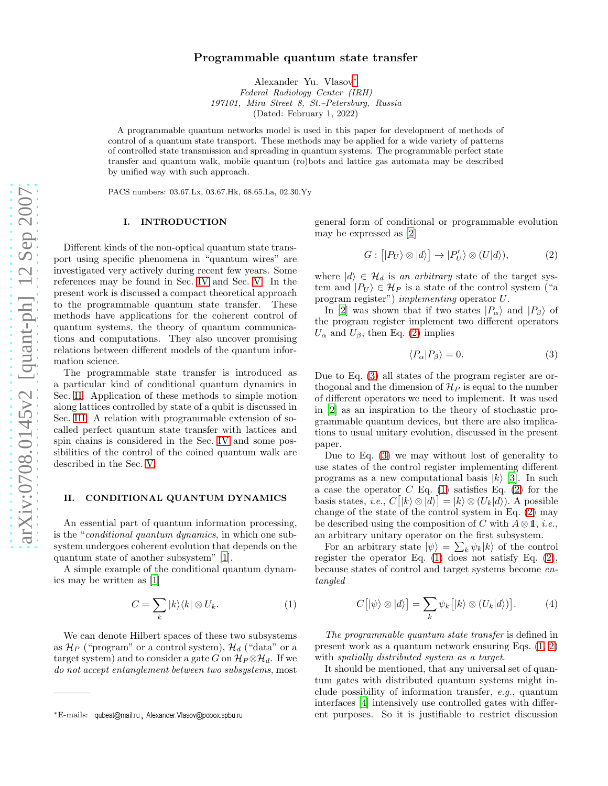# Programmable quantum state transfer

Alexander Yu. Vlasov[∗](#page-0-0) *Federal Radiology Center (IRH) 197101, Mira Street 8, St.–Petersburg, Russia* (Dated: February 1, 2022)

A programmable quantum networks model is used in this paper for development of methods of control of a quantum state transport. These methods may be applied for a wide variety of patterns of controlled state transmission and spreading in quantum systems. The programmable perfect state transfer and quantum walk, mobile quantum (ro)bots and lattice gas automata may be described by unified way with such approach.

PACS numbers: 03.67.Lx, 03.67.Hk, 68.65.La, 02.30.Yy

## I. INTRODUCTION

Different kinds of the non-optical quantum state transport using specific phenomena in "quantum wires" are investigated very actively during recent few years. Some references may be found in Sec. [IV](#page-1-0) and Sec. [V.](#page-2-0) In the present work is discussed a compact theoretical approach to the programmable quantum state transfer. These methods have applications for the coherent control of quantum systems, the theory of quantum communications and computations. They also uncover promising relations between different models of the quantum information science.

The programmable state transfer is introduced as a particular kind of conditional quantum dynamics in Sec. [II.](#page-0-1) Application of these methods to simple motion along lattices controlled by state of a qubit is discussed in Sec. [III.](#page-1-1) A relation with programmable extension of socalled perfect quantum state transfer with lattices and spin chains is considered in the Sec. [IV](#page-1-0) and some possibilities of the control of the coined quantum walk are described in the Sec. [V.](#page-2-0)

#### <span id="page-0-1"></span>II. CONDITIONAL QUANTUM DYNAMICS

An essential part of quantum information processing, is the "conditional quantum dynamics, in which one subsystem undergoes coherent evolution that depends on the quantum state of another subsystem" [\[1](#page-3-0)].

A simple example of the conditional quantum dynamics may be written as [\[1\]](#page-3-0)

<span id="page-0-4"></span>
$$
C = \sum_{k} |k\rangle\langle k| \otimes U_k. \tag{1}
$$

We can denote Hilbert spaces of these two subsystems as  $\mathcal{H}_P$  ("program" or a control system),  $\mathcal{H}_d$  ("data" or a target system) and to consider a gate G on  $\mathcal{H}_P \otimes \mathcal{H}_d$ . If we do not accept entanglement between two subsystems, most

general form of conditional or programmable evolution may be expressed as [\[2\]](#page-3-1)

<span id="page-0-2"></span>
$$
G: [|P_U\rangle \otimes |d\rangle] \to |P'_U\rangle \otimes (U|d\rangle), \tag{2}
$$

where  $|d\rangle \in \mathcal{H}_d$  is an arbitrary state of the target system and  $|P_U\rangle \in \mathcal{H}_P$  is a state of the control system ("a program register") implementing operator U.

In [\[2](#page-3-1)] was shown that if two states  $|P_{\alpha}\rangle$  and  $|P_{\beta}\rangle$  of the program register implement two different operators  $U_{\alpha}$  and  $U_{\beta}$ , then Eq. [\(2\)](#page-0-2) implies

<span id="page-0-3"></span>
$$
\langle P_{\alpha} | P_{\beta} \rangle = 0. \tag{3}
$$

Due to Eq. [\(3\)](#page-0-3) all states of the program register are orthogonal and the dimension of  $\mathcal{H}_P$  is equal to the number of different operators we need to implement. It was used in [\[2](#page-3-1)] as an inspiration to the theory of stochastic programmable quantum devices, but there are also implications to usual unitary evolution, discussed in the present paper.

Due to Eq. [\(3\)](#page-0-3) we may without lost of generality to use states of the control register implementing different programs as a new computational basis  $|k\rangle$  [\[3\]](#page-3-2). In such a case the operator  $C$  Eq. [\(1\)](#page-0-4) satisfies Eq. [\(2\)](#page-0-2) for the basis states, *i.e.*,  $C[|k\rangle \otimes |d\rangle] = |k\rangle \otimes (U_k|d\rangle)$ . A possible change of the state of the control system in Eq. [\(2\)](#page-0-2) may be described using the composition of C with  $A \otimes \mathbb{1}$ , *i.e.*, an arbitrary unitary operator on the first subsystem.

For an arbitrary state  $|\psi\rangle = \sum_k \psi_k |k\rangle$  of the control register the operator Eq.  $(1)$  does not satisfy Eq.  $(2)$ , because states of control and target systems become entangled

<span id="page-0-5"></span>
$$
C[|\psi\rangle \otimes |d\rangle] = \sum_{k} \psi_{k} [|k\rangle \otimes (U_{k}|d\rangle)]. \tag{4}
$$

The programmable quantum state transfer is defined in present work as a quantum network ensuring Eqs. [\(1,](#page-0-4) [2\)](#page-0-2) with *spatially distributed system as a target.* 

It should be mentioned, that any universal set of quantum gates with distributed quantum systems might include possibility of information transfer, e.g., quantum interfaces [\[4](#page-3-3)] intensively use controlled gates with different purposes. So it is justifiable to restrict discussion

<span id="page-0-0"></span><sup>\*</sup>E-mails: qubeat@mail.ru, Alexander.Vlasov@pobox.spbu.ru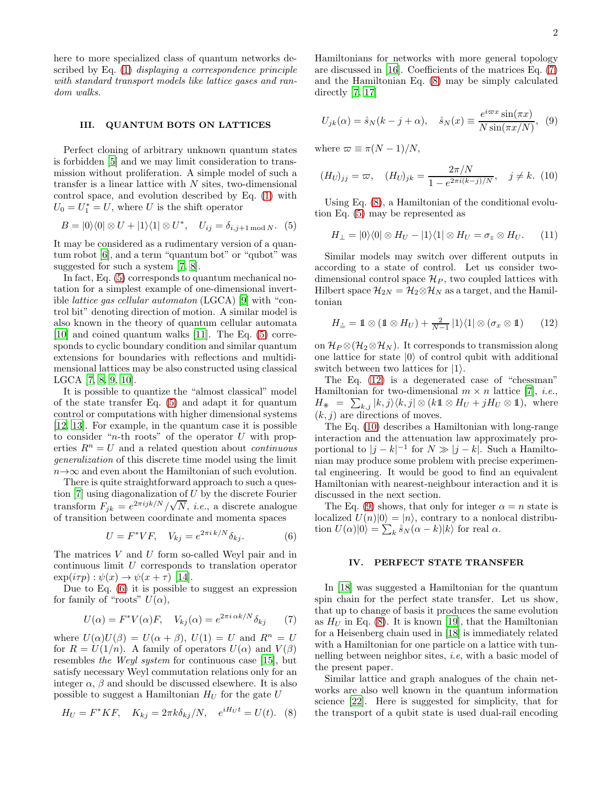here to more specialized class of quantum networks described by Eq. [\(1\)](#page-0-4) displaying a correspondence principle with standard transport models like lattice gases and random walks.

#### <span id="page-1-1"></span>III. QUANTUM BOTS ON LATTICES

Perfect cloning of arbitrary unknown quantum states is forbidden [\[5](#page-3-4)] and we may limit consideration to transmission without proliferation. A simple model of such a transfer is a linear lattice with  $N$  sites, two-dimensional control space, and evolution described by Eq. [\(1\)](#page-0-4) with  $U_0 = U_1^* = U$ , where U is the shift operator

<span id="page-1-2"></span>
$$
B = |0\rangle\langle 0| \otimes U + |1\rangle\langle 1| \otimes U^*, \quad U_{ij} = \delta_{i,j+1 \mod N}. \tag{5}
$$

It may be considered as a rudimentary version of a quantum robot [\[6](#page-3-5)], and a term "quantum bot" or "qubot" was suggested for such a system [\[7,](#page-3-6) [8\]](#page-3-7).

In fact, Eq. [\(5\)](#page-1-2) corresponds to quantum mechanical notation for a simplest example of one-dimensional invertible lattice gas cellular automaton (LGCA) [\[9](#page-3-8)] with "control bit" denoting direction of motion. A similar model is also known in the theory of quantum cellular automata [\[10\]](#page-3-9) and coined quantum walks [\[11](#page-3-10)]. The Eq. [\(5\)](#page-1-2) corresponds to cyclic boundary condition and similar quantum extensions for boundaries with reflections and multidimensional lattices may be also constructed using classical LGCA [\[7,](#page-3-6) [8,](#page-3-7) [9,](#page-3-8) [10\]](#page-3-9).

It is possible to quantize the "almost classical" model of the state transfer Eq. [\(5\)](#page-1-2) and adapt it for quantum control or computations with higher dimensional systems [\[12,](#page-3-11) [13\]](#page-3-12). For example, in the quantum case it is possible to consider "n-th roots" of the operator  $U$  with properties  $R^n = U$  and a related question about *continuous* generalization of this discrete time model using the limit  $n\rightarrow\infty$  and even about the Hamiltonian of such evolution.

There is quite straightforward approach to such a question [\[7\]](#page-3-6) using diagonalization of U by the discrete Fourier transform  $F_{jk} = e^{2\pi i jk/N} / \sqrt{N}$ , *i.e.*, a discrete analogue of transition between coordinate and momenta spaces

<span id="page-1-3"></span>
$$
U = F^*VF, \quad V_{kj} = e^{2\pi i k/N} \delta_{kj}.
$$
 (6)

The matrices V and U form so-called Weyl pair and in continuous limit U corresponds to translation operator  $\exp(i\tau p): \psi(x) \to \psi(x+\tau)$  [\[14\]](#page-3-13).

Due to Eq. [\(6\)](#page-1-3) it is possible to suggest an expression for family of "roots"  $U(\alpha)$ ,

<span id="page-1-4"></span>
$$
U(\alpha) = F^*V(\alpha)F, \quad V_{kj}(\alpha) = e^{2\pi i \alpha k/N} \delta_{kj} \tag{7}
$$

where  $U(\alpha)U(\beta) = U(\alpha + \beta)$ ,  $U(1) = U$  and  $R^n = U$ for  $R = U(1/n)$ . A family of operators  $U(\alpha)$  and  $V(\beta)$ resembles the Weyl system for continuous case [\[15\]](#page-3-14), but satisfy necessary Weyl commutation relations only for an integer  $\alpha$ ,  $\beta$  and should be discussed elsewhere. It is also possible to suggest a Hamiltonian  $H_U$  for the gate U

<span id="page-1-5"></span>
$$
H_U = F^* K F, \quad K_{kj} = 2\pi k \delta_{kj} / N, \quad e^{iH_U t} = U(t). \tag{8}
$$

Hamiltonians for networks with more general topology are discussed in [\[16\]](#page-3-15). Coefficients of the matrices Eq. [\(7\)](#page-1-4) and the Hamiltonian Eq. [\(8\)](#page-1-5) may be simply calculated directly [\[7](#page-3-6), [17](#page-3-16)]

<span id="page-1-8"></span>
$$
U_{jk}(\alpha) = \mathring{s}_N(k - j + \alpha), \quad \mathring{s}_N(x) \equiv \frac{e^{i\varpi x} \sin(\pi x)}{N \sin(\pi x/N)}, \tag{9}
$$

where  $\varpi \equiv \pi (N-1)/N$ ,

<span id="page-1-7"></span>
$$
(H_U)_{jj} = \varpi, \quad (H_U)_{jk} = \frac{2\pi/N}{1 - e^{2\pi i(k-j)/N}}, \quad j \neq k. \tag{10}
$$

Using Eq. [\(8\)](#page-1-5), a Hamiltonian of the conditional evolution Eq. [\(5\)](#page-1-2) may be represented as

<span id="page-1-9"></span>
$$
H_{\perp} = |0\rangle\langle 0| \otimes H_U - |1\rangle\langle 1| \otimes H_U = \sigma_z \otimes H_U. \qquad (11)
$$

Similar models may switch over different outputs in according to a state of control. Let us consider twodimensional control space  $\mathcal{H}_P$ , two coupled lattices with Hilbert space  $\mathcal{H}_{2N} = \mathcal{H}_2 \otimes \mathcal{H}_N$  as a target, and the Hamiltonian

<span id="page-1-6"></span>
$$
H_{\dot{=}} = \mathbb{1} \otimes (\mathbb{1} \otimes H_U) + \frac{2}{N-1} |1\rangle\langle 1| \otimes (\sigma_x \otimes \mathbb{1}) \qquad (12)
$$

on  $\mathcal{H}_P \otimes (\mathcal{H}_2 \otimes \mathcal{H}_N)$ . It corresponds to transmission along one lattice for state  $|0\rangle$  of control qubit with additional switch between two lattices for  $|1\rangle$ .

The Eq. [\(12\)](#page-1-6) is a degenerated case of "chessman" Hamiltonian for two-dimensional  $m \times n$  lattice [\[7\]](#page-3-6), *i.e.*,  $H_{*} = \sum_{k,j} |k, j\rangle\langle k, j| \otimes (k \mathbb{1} \otimes H_{U} + jH_{U} \otimes \mathbb{1}),$  where  $(k, j)$  are directions of moves.

The Eq. [\(10\)](#page-1-7) describes a Hamiltonian with long-range interaction and the attenuation law approximately proportional to  $|j - k|^{-1}$  for  $N \gg |j - k|$ . Such a Hamiltonian may produce some problem with precise experimental engineering. It would be good to find an equivalent Hamiltonian with nearest-neighbour interaction and it is discussed in the next section.

The Eq. [\(9\)](#page-1-8) shows, that only for integer  $\alpha = n$  state is localized  $U(n)|0\rangle = |n\rangle$ , contrary to a nonlocal distribution  $U(\alpha)|0\rangle = \sum_k \dot{s}_N(\alpha - k)|k\rangle$  for real  $\alpha$ .

#### <span id="page-1-0"></span>IV. PERFECT STATE TRANSFER

In [\[18\]](#page-3-17) was suggested a Hamiltonian for the quantum spin chain for the perfect state transfer. Let us show, that up to change of basis it produces the same evolution as  $H_U$  in Eq. [\(8\)](#page-1-5). It is known [\[19](#page-3-18)], that the Hamiltonian for a Heisenberg chain used in [\[18](#page-3-17)] is immediately related with a Hamiltonian for one particle on a lattice with tunnelling between neighbor sites, i.e, with a basic model of the present paper.

Similar lattice and graph analogues of the chain networks are also well known in the quantum information science [\[22\]](#page-3-19). Here is suggested for simplicity, that for the transport of a qubit state is used dual-rail encoding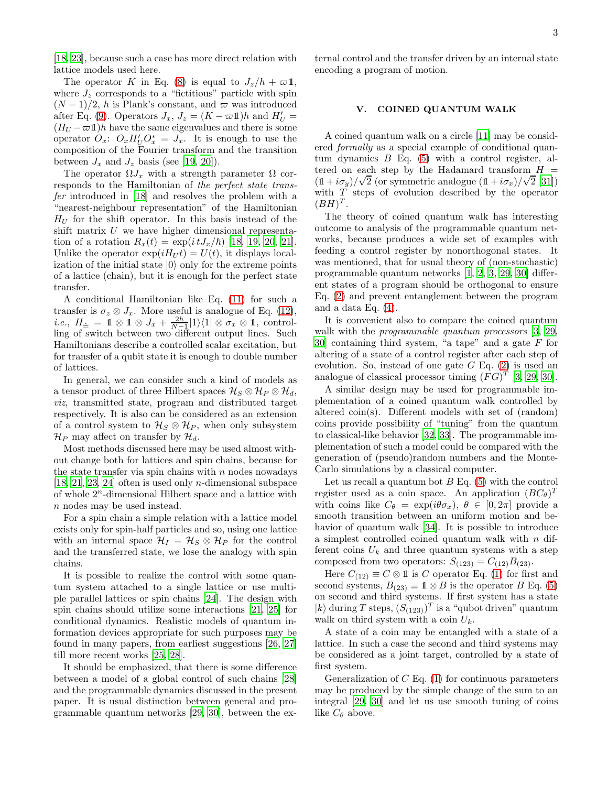[\[18,](#page-3-17) [23](#page-3-20)], because such a case has more direct relation with lattice models used here.

The operator K in Eq. [\(8\)](#page-1-5) is equal to  $J_z/h + \varpi \mathbb{1}$ , where  $J_z$  corresponds to a "fictitious" particle with spin  $(N-1)/2$ , h is Plank's constant, and  $\varpi$  was introduced after Eq. [\(9\)](#page-1-8). Operators  $J_x$ ,  $J_z = (K - \omega \mathbb{1})h$  and  $H'_U =$  $(H_U - \varpi \mathbb{1})h$  have the same eigenvalues and there is some operator  $\hat{O}_x$ :  $O_x H_U' O_x^* = J_x$ . It is enough to use the composition of the Fourier transform and the transition between  $J_x$  and  $J_z$  basis (see [\[19](#page-3-18), [20\]](#page-3-21)).

The operator  $\Omega J_x$  with a strength parameter  $\Omega$  corresponds to the Hamiltonian of the perfect state transfer introduced in [\[18\]](#page-3-17) and resolves the problem with a "nearest-neighbour representation" of the Hamiltonian  $H_U$  for the shift operator. In this basis instead of the shift matrix  $U$  we have higher dimensional representation of a rotation  $R_x(t) = \exp(it J_x/\hbar)$  [\[18](#page-3-17), [19,](#page-3-18) [20,](#page-3-21) [21\]](#page-3-22). Unlike the operator  $\exp(iH_U t) = U(t)$ , it displays localization of the initial state  $|0\rangle$  only for the extreme points of a lattice (chain), but it is enough for the perfect state transfer.

A conditional Hamiltonian like Eq. [\(11\)](#page-1-9) for such a transfer is  $\sigma_z \otimes J_x$ . More useful is analogue of Eq. [\(12\)](#page-1-6), *i.e.*,  $H_{\doteq} = \mathbb{1} \otimes \mathbb{1} \otimes J_x + \frac{2h}{N-1} |1\rangle\langle 1| \otimes \sigma_x \otimes \mathbb{1}$ , controlling of switch between two different output lines. Such Hamiltonians describe a controlled scalar excitation, but for transfer of a qubit state it is enough to double number of lattices.

In general, we can consider such a kind of models as a tensor product of three Hilbert spaces  $\mathcal{H}_{S} \otimes \mathcal{H}_{P} \otimes \mathcal{H}_{d}$ , viz, transmitted state, program and distributed target respectively. It is also can be considered as an extension of a control system to  $\mathcal{H}_S \otimes \mathcal{H}_P$ , when only subsystem  $\mathcal{H}_P$  may affect on transfer by  $\mathcal{H}_d$ .

Most methods discussed here may be used almost without change both for lattices and spin chains, because for the state transfer via spin chains with  $n$  nodes nowadays [\[18,](#page-3-17) [21,](#page-3-22) [23](#page-3-20), [24\]](#page-3-23) often is used only n-dimensional subspace of whole  $2^n$ -dimensional Hilbert space and a lattice with n nodes may be used instead.

For a spin chain a simple relation with a lattice model exists only for spin-half particles and so, using one lattice with an internal space  $\mathcal{H}_I = \mathcal{H}_S \otimes \mathcal{H}_P$  for the control and the transferred state, we lose the analogy with spin chains.

It is possible to realize the control with some quantum system attached to a single lattice or use multiple parallel lattices or spin chains [\[24\]](#page-3-23). The design with spin chains should utilize some interactions [\[21](#page-3-22), [25](#page-3-24)] for conditional dynamics. Realistic models of quantum information devices appropriate for such purposes may be found in many papers, from earliest suggestions [\[26,](#page-4-0) [27](#page-4-1)] till more recent works [\[25](#page-3-24), [28](#page-4-2)].

It should be emphasized, that there is some difference between a model of a global control of such chains [\[28](#page-4-2)] and the programmable dynamics discussed in the present paper. It is usual distinction between general and programmable quantum networks [\[29,](#page-4-3) [30](#page-4-4)], between the external control and the transfer driven by an internal state encoding a program of motion.

## <span id="page-2-0"></span>V. COINED QUANTUM WALK

A coined quantum walk on a circle [\[11\]](#page-3-10) may be considered formally as a special example of conditional quantum dynamics  $B$  Eq. [\(5\)](#page-1-2) with a control register, altered on each step by the Hadamard transform  $H =$  $(1 + i\sigma_y)/\sqrt{2}$  (or symmetric analogue  $(1 + i\sigma_x)/\sqrt{2}$  [\[31\]](#page-4-5)) with  $T$  steps of evolution described by the operator  $(BH)^T$ .

The theory of coined quantum walk has interesting outcome to analysis of the programmable quantum networks, because produces a wide set of examples with feeding a control register by nonorthogonal states. It was mentioned, that for usual theory of (non-stochastic) programmable quantum networks [\[1](#page-3-0), [2](#page-3-1), [3,](#page-3-2) [29,](#page-4-3) [30](#page-4-4)] different states of a program should be orthogonal to ensure Eq. [\(2\)](#page-0-2) and prevent entanglement between the program and a data Eq. [\(4\)](#page-0-5).

It is convenient also to compare the coined quantum walk with the *programmable quantum processors* [\[3,](#page-3-2) [29](#page-4-3), [30](#page-4-4)] containing third system, "a tape" and a gate  $F$  for altering of a state of a control register after each step of evolution. So, instead of one gate  $G$  Eq.  $(2)$  is used an analogue of classical processor timing  $(FG)^T$  [\[3](#page-3-2), [29](#page-4-3), [30](#page-4-4)].

A similar design may be used for programmable implementation of a coined quantum walk controlled by altered coin(s). Different models with set of (random) coins provide possibility of "tuning" from the quantum to classical-like behavior [\[32](#page-4-6), [33\]](#page-4-7). The programmable implementation of such a model could be compared with the generation of (pseudo)random numbers and the Monte-Carlo simulations by a classical computer.

Let us recall a quantum bot  $B \to G$ . [\(5\)](#page-1-2) with the control register used as a coin space. An application  $(BC_{\theta})^T$ with coins like  $C_{\theta} = \exp(i\theta \sigma_x), \ \theta \in [0, 2\pi]$  provide a smooth transition between an uniform motion and behavior of quantum walk [\[34](#page-4-8)]. It is possible to introduce a simplest controlled coined quantum walk with  $n$  different coins  $U_k$  and three quantum systems with a step composed from two operators:  $S_{(123)} = C_{(12)}B_{(23)}$ .

Here  $C_{(12)} \equiv C \otimes \mathbb{1}$  is C operator Eq. [\(1\)](#page-0-4) for first and second systems,  $B_{(23)} \equiv \mathbb{1} \otimes B$  is the operator B Eq. [\(5\)](#page-1-2) on second and third systems. If first system has a state  $|k\rangle$  during T steps,  $(S_{(123)})^T$  is a "qubot driven" quantum walk on third system with a coin  $U_k$ .

A state of a coin may be entangled with a state of a lattice. In such a case the second and third systems may be considered as a joint target, controlled by a state of first system.

Generalization of  $C$  Eq. [\(1\)](#page-0-4) for continuous parameters may be produced by the simple change of the sum to an integral [\[29](#page-4-3), [30](#page-4-4)] and let us use smooth tuning of coins like  $C_{\theta}$  above.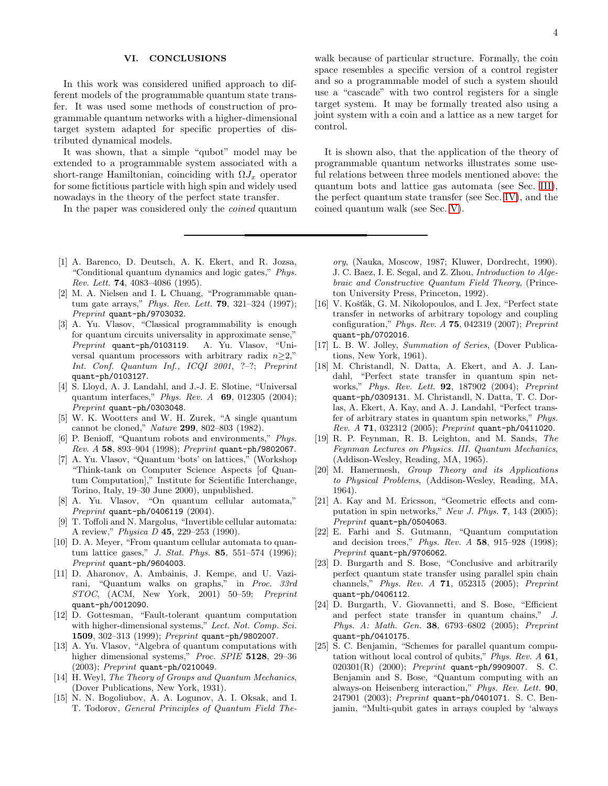### VI. CONCLUSIONS

In this work was considered unified approach to different models of the programmable quantum state transfer. It was used some methods of construction of programmable quantum networks with a higher-dimensional target system adapted for specific properties of distributed dynamical models.

It was shown, that a simple "qubot" model may be extended to a programmable system associated with a short-range Hamiltonian, coinciding with  $\Omega J_x$  operator for some fictitious particle with high spin and widely used nowadays in the theory of the perfect state transfer.

In the paper was considered only the coined quantum

- <span id="page-3-0"></span>[1] A. Barenco, D. Deutsch, A. K. Ekert, and R. Jozsa, "Conditional quantum dynamics and logic gates," *Phys. Rev. Lett.* 74, 4083–4086 (1995).
- <span id="page-3-1"></span>[2] M. A. Nielsen and I. L Chuang, "Programmable quantum gate arrays," *Phys. Rev. Lett.* 79, 321–324 (1997); *Preprint* quant-ph/9703032.
- <span id="page-3-2"></span>[3] A. Yu. Vlasov, "Classical programmability is enough for quantum circuits universality in approximate sense," *Preprint* quant-ph/0103119. A. Yu. Vlasov, "Universal quantum processors with arbitrary radix  $n>2$ ," *Int. Conf. Quantum Inf., ICQI 2001*, ?–?; *Preprint* quant-ph/0103127.
- <span id="page-3-3"></span>[4] S. Lloyd, A. J. Landahl, and J.-J. E. Slotine, "Universal quantum interfaces," *Phys. Rev. A* 69, 012305 (2004); *Preprint* quant-ph/0303048.
- <span id="page-3-4"></span>[5] W. K. Wootters and W. H. Zurek, "A single quantum cannot be cloned," *Nature* 299, 802–803 (1982).
- <span id="page-3-5"></span>[6] P. Benioff, "Quantum robots and environments," *Phys. Rev. A* 58, 893–904 (1998); *Preprint* quant-ph/9802067.
- <span id="page-3-6"></span>[7] A. Yu. Vlasov, "Quantum 'bots' on lattices," (Workshop "Think-tank on Computer Science Aspects [of Quantum Computation]," Institute for Scientific Interchange, Torino, Italy, 19–30 June 2000), unpublished.
- <span id="page-3-7"></span>[8] A. Yu. Vlasov, "On quantum cellular automata," *Preprint* quant-ph/0406119 (2004).
- <span id="page-3-8"></span>[9] T. Toffoli and N. Margolus, "Invertible cellular automata: A review," *Physica D* 45, 229–253 (1990).
- <span id="page-3-9"></span>[10] D. A. Meyer, "From quantum cellular automata to quantum lattice gases," *J. Stat. Phys.* 85, 551–574 (1996); *Preprint* quant-ph/9604003.
- <span id="page-3-10"></span>[11] D. Aharonov, A. Ambainis, J. Kempe, and U. Vazirani, "Quantum walks on graphs," in *Proc. 33rd STOC*, (ACM, New York, 2001) 50–59; *Preprint* quant-ph/0012090.
- <span id="page-3-11"></span>[12] D. Gottesman, "Fault-tolerant quantum computation with higher-dimensional systems," *Lect. Not. Comp. Sci.* 1509, 302–313 (1999); *Preprint* quant-ph/9802007.
- <span id="page-3-12"></span>[13] A. Yu. Vlasov, "Algebra of quantum computations with higher dimensional systems," *Proc. SPIE* 5128, 29–36 (2003); *Preprint* quant-ph/0210049.
- <span id="page-3-13"></span>[14] H. Weyl, *The Theory of Groups and Quantum Mechanics*, (Dover Publications, New York, 1931).
- <span id="page-3-14"></span>[15] N. N. Bogoliubov, A. A. Logunov, A. I. Oksak, and I. T. Todorov, *General Principles of Quantum Field The-*

walk because of particular structure. Formally, the coin space resembles a specific version of a control register and so a programmable model of such a system should use a "cascade" with two control registers for a single target system. It may be formally treated also using a joint system with a coin and a lattice as a new target for control.

It is shown also, that the application of the theory of programmable quantum networks illustrates some useful relations between three models mentioned above: the quantum bots and lattice gas automata (see Sec. [III\)](#page-1-1), the perfect quantum state transfer (see Sec. [IV\)](#page-1-0), and the coined quantum walk (see Sec. [V\)](#page-2-0).

*ory*, (Nauka, Moscow, 1987; Kluwer, Dordrecht, 1990). J. C. Baez, I. E. Segal, and Z. Zhou, *Introduction to Algebraic and Constructive Quantum Field Theory*, (Princeton University Press, Princeton, 1992).

- <span id="page-3-15"></span>[16] V. Košťák, G. M. Nikolopoulos, and I. Jex, "Perfect state transfer in networks of arbitrary topology and coupling configuration," *Phys. Rev. A* 75, 042319 (2007); *Preprint* quant-ph/0702016.
- <span id="page-3-16"></span>[17] L. B. W. Jolley, *Summation of Series*, (Dover Publications, New York, 1961).
- <span id="page-3-17"></span>[18] M. Christandl, N. Datta, A. Ekert, and A. J. Landahl, "Perfect state transfer in quantum spin networks," *Phys. Rev. Lett.* 92, 187902 (2004); *Preprint* quant-ph/0309131. M. Christandl, N. Datta, T. C. Dorlas, A. Ekert, A. Kay, and A. J. Landahl, "Perfect transfer of arbitrary states in quantum spin networks," *Phys. Rev. A* 71, 032312 (2005); *Preprint* quant-ph/0411020.
- <span id="page-3-18"></span>[19] R. P. Feynman, R. B. Leighton, and M. Sands, *The Feynman Lectures on Physics. III. Quantum Mechanics*, (Addison-Wesley, Reading, MA, 1965).
- <span id="page-3-21"></span>[20] M. Hamermesh, *Group Theory and its Applications to Physical Problems*, (Addison-Wesley, Reading, MA, 1964).
- <span id="page-3-22"></span>[21] A. Kay and M. Ericsson, "Geometric effects and computation in spin networks," *New J. Phys.* 7, 143 (2005); *Preprint* quant-ph/0504063.
- <span id="page-3-19"></span>[22] E. Farhi and S. Gutmann, "Quantum computation and decision trees," *Phys. Rev. A* 58, 915–928 (1998); *Preprint* quant-ph/9706062.
- <span id="page-3-20"></span>[23] D. Burgarth and S. Bose, "Conclusive and arbitrarily perfect quantum state transfer using parallel spin chain channels," *Phys. Rev. A* 71, 052315 (2005); *Preprint* quant-ph/0406112.
- <span id="page-3-23"></span>[24] D. Burgarth, V. Giovannetti, and S. Bose, "Efficient and perfect state transfer in quantum chains," *J. Phys. A: Math. Gen.* 38, 6793–6802 (2005); *Preprint* quant-ph/0410175.
- <span id="page-3-24"></span>[25] S. C. Benjamin, "Schemes for parallel quantum computation without local control of qubits," *Phys. Rev. A* 61, 020301(R) (2000); *Preprint* quant-ph/9909007. S. C. Benjamin and S. Bose, "Quantum computing with an always-on Heisenberg interaction," *Phys. Rev. Lett.* 90, 247901 (2003); *Preprint* quant-ph/0401071. S. C. Benjamin, "Multi-qubit gates in arrays coupled by 'always